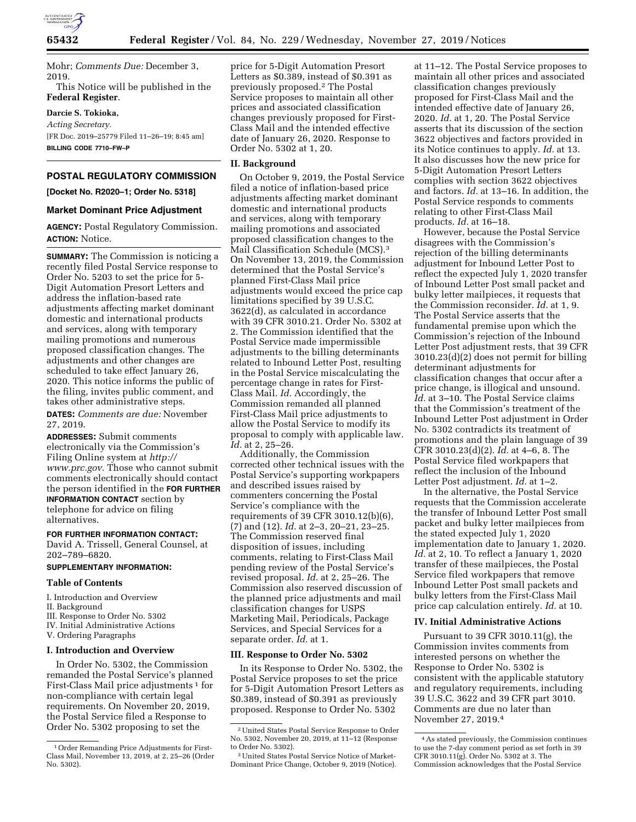

Mohr; *Comments Due:* December 3, 2019.

This Notice will be published in the **Federal Register**.

### **Darcie S. Tokioka,**

*Acting Secretary.*  [FR Doc. 2019–25779 Filed 11–26–19; 8:45 am] **BILLING CODE 7710–FW–P** 

# **POSTAL REGULATORY COMMISSION**

**[Docket No. R2020–1; Order No. 5318]** 

#### **Market Dominant Price Adjustment**

**AGENCY:** Postal Regulatory Commission. **ACTION:** Notice.

**SUMMARY:** The Commission is noticing a recently filed Postal Service response to Order No. 5203 to set the price for 5- Digit Automation Presort Letters and address the inflation-based rate adjustments affecting market dominant domestic and international products and services, along with temporary mailing promotions and numerous proposed classification changes. The adjustments and other changes are scheduled to take effect January 26, 2020. This notice informs the public of the filing, invites public comment, and takes other administrative steps.

**DATES:** *Comments are due:* November 27, 2019.

**ADDRESSES:** Submit comments electronically via the Commission's Filing Online system at *[http://](http://www.prc.gov) [www.prc.gov.](http://www.prc.gov)* Those who cannot submit comments electronically should contact the person identified in the **FOR FURTHER INFORMATION CONTACT** section by telephone for advice on filing alternatives.

#### **FOR FURTHER INFORMATION CONTACT:**

David A. Trissell, General Counsel, at 202–789–6820.

## **SUPPLEMENTARY INFORMATION:**

#### **Table of Contents**

I. Introduction and Overview

- II. Background
- III. Response to Order No. 5302
- IV. Initial Administrative Actions
- V. Ordering Paragraphs

#### **I. Introduction and Overview**

In Order No. 5302, the Commission remanded the Postal Service's planned First-Class Mail price adjustments<sup>1</sup> for non-compliance with certain legal requirements. On November 20, 2019, the Postal Service filed a Response to Order No. 5302 proposing to set the

price for 5-Digit Automation Presort Letters as \$0.389, instead of \$0.391 as previously proposed.2 The Postal Service proposes to maintain all other prices and associated classification changes previously proposed for First-Class Mail and the intended effective date of January 26, 2020. Response to Order No. 5302 at 1, 20.

### **II. Background**

On October 9, 2019, the Postal Service filed a notice of inflation-based price adjustments affecting market dominant domestic and international products and services, along with temporary mailing promotions and associated proposed classification changes to the Mail Classification Schedule (MCS).<sup>3</sup> On November 13, 2019, the Commission determined that the Postal Service's planned First-Class Mail price adjustments would exceed the price cap limitations specified by 39 U.S.C. 3622(d), as calculated in accordance with 39 CFR 3010.21. Order No. 5302 at 2. The Commission identified that the Postal Service made impermissible adjustments to the billing determinants related to Inbound Letter Post, resulting in the Postal Service miscalculating the percentage change in rates for First-Class Mail. *Id.* Accordingly, the Commission remanded all planned First-Class Mail price adjustments to allow the Postal Service to modify its proposal to comply with applicable law. *Id.* at 2, 25–26.

Additionally, the Commission corrected other technical issues with the Postal Service's supporting workpapers and described issues raised by commenters concerning the Postal Service's compliance with the requirements of 39 CFR 3010.12(b)(6), (7) and (12). *Id.* at 2–3, 20–21, 23–25. The Commission reserved final disposition of issues, including comments, relating to First-Class Mail pending review of the Postal Service's revised proposal. *Id.* at 2, 25–26. The Commission also reserved discussion of the planned price adjustments and mail classification changes for USPS Marketing Mail, Periodicals, Package Services, and Special Services for a separate order. *Id.* at 1.

#### **III. Response to Order No. 5302**

In its Response to Order No. 5302, the Postal Service proposes to set the price for 5-Digit Automation Presort Letters as \$0.389, instead of \$0.391 as previously proposed. Response to Order No. 5302

at 11–12. The Postal Service proposes to maintain all other prices and associated classification changes previously proposed for First-Class Mail and the intended effective date of January 26, 2020. *Id.* at 1, 20. The Postal Service asserts that its discussion of the section 3622 objectives and factors provided in its Notice continues to apply. *Id.* at 13. It also discusses how the new price for 5-Digit Automation Presort Letters complies with section 3622 objectives and factors. *Id.* at 13–16. In addition, the Postal Service responds to comments relating to other First-Class Mail products. *Id.* at 16–18.

However, because the Postal Service disagrees with the Commission's rejection of the billing determinants adjustment for Inbound Letter Post to reflect the expected July 1, 2020 transfer of Inbound Letter Post small packet and bulky letter mailpieces, it requests that the Commission reconsider. *Id.* at 1, 9. The Postal Service asserts that the fundamental premise upon which the Commission's rejection of the Inbound Letter Post adjustment rests, that 39 CFR 3010.23(d)(2) does not permit for billing determinant adjustments for classification changes that occur after a price change, is illogical and unsound. *Id.* at 3–10. The Postal Service claims that the Commission's treatment of the Inbound Letter Post adjustment in Order No. 5302 contradicts its treatment of promotions and the plain language of 39 CFR 3010.23(d)(2). *Id.* at 4–6, 8. The Postal Service filed workpapers that reflect the inclusion of the Inbound Letter Post adjustment. *Id.* at 1–2.

In the alternative, the Postal Service requests that the Commission accelerate the transfer of Inbound Letter Post small packet and bulky letter mailpieces from the stated expected July 1, 2020 implementation date to January 1, 2020. *Id.* at 2, 10. To reflect a January 1, 2020 transfer of these mailpieces, the Postal Service filed workpapers that remove Inbound Letter Post small packets and bulky letters from the First-Class Mail price cap calculation entirely. *Id.* at 10.

### **IV. Initial Administrative Actions**

Pursuant to 39 CFR 3010.11(g), the Commission invites comments from interested persons on whether the Response to Order No. 5302 is consistent with the applicable statutory and regulatory requirements, including 39 U.S.C. 3622 and 39 CFR part 3010. Comments are due no later than November 27, 2019.4

<sup>1</sup>Order Remanding Price Adjustments for First-Class Mail, November 13, 2019, at 2, 25–26 (Order No. 5302).

<sup>2</sup>United States Postal Service Response to Order No. 5302, November 20, 2019, at 11–12 (Response to Order No. 5302).

<sup>3</sup>United States Postal Service Notice of Market-Dominant Price Change, October 9, 2019 (Notice).

<sup>4</sup>As stated previously, the Commission continues to use the 7-day comment period as set forth in 39 CFR 3010.11(g). Order No. 5302 at 3. The Commission acknowledges that the Postal Service